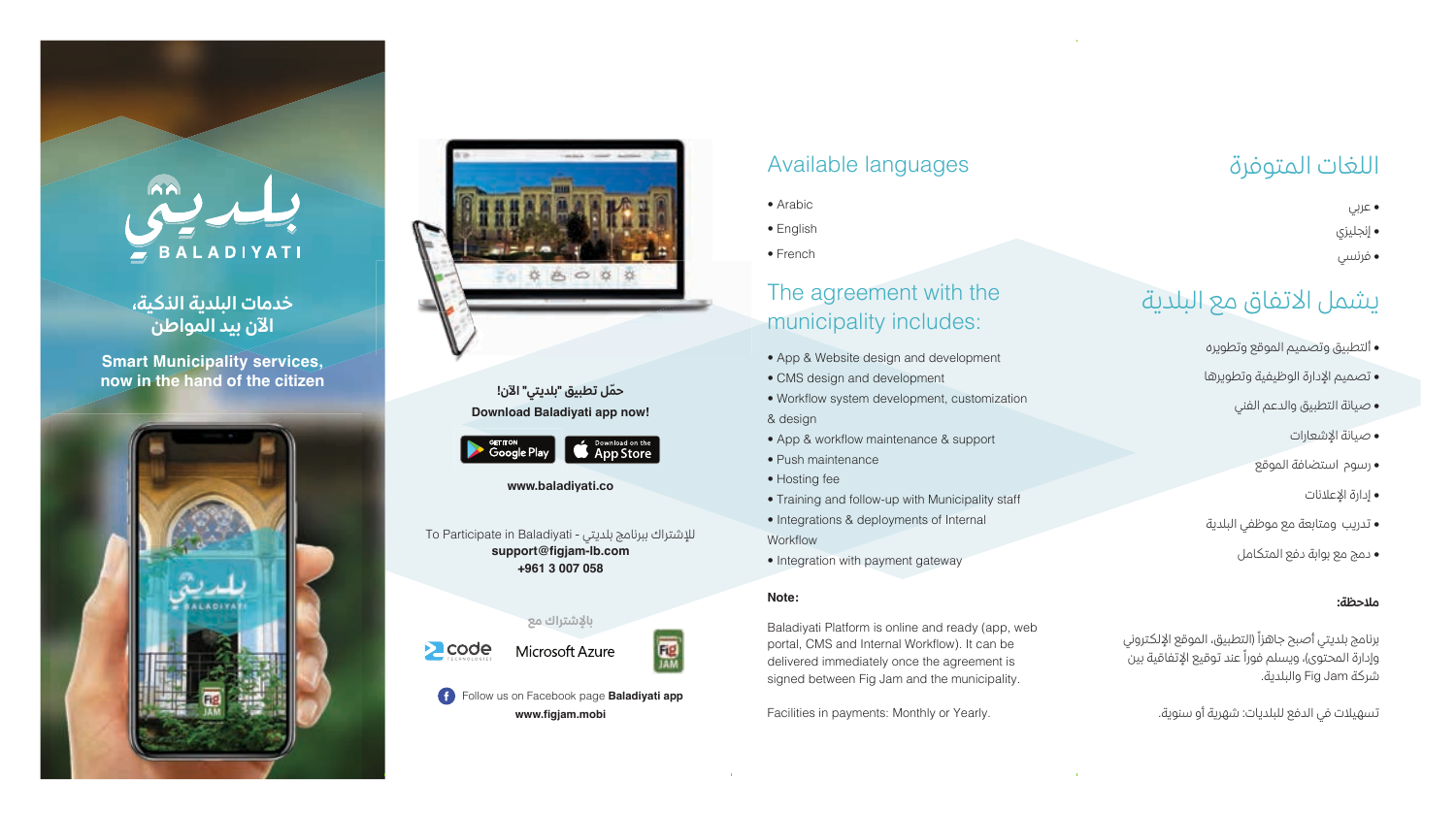# BALADIYATI

#### **خدمات البلدية الذكية، الآن بيد المواطن**

**Smart Municipality services, now in the hand of the citizen**





**Download Baladiyati app now! ّحمل تطبيق "بلديتي" الآن!**



**www.baladiyati.co**

 To Participate in Baladiyati - بلديتي ببرنامج للإشتراك **support@figjam-lb.com +961 3 007 058**

**بالإشتراك مع**



Follow us on Facebook page **Baladiyati app www.figjam.mobi**

# Available languages

- Arabic
- English
- French

# The agreement with the municipality includes:

- App & Website design and development
- CMS design and development
- Workflow system development, customization & design
- App & workflow maintenance & support
- Push maintenance
- Hosting fee
- Training and follow-up with Municipality staff
- Integrations & deployments of Internal Workflow
- Integration with payment gateway

#### **Note:**

Baladiyati Platform is online and ready (app, web portal, CMS and Internal Workflow). It can be delivered immediately once the agreement is signed between Fig Jam and the municipality.

Facilities in payments: Monthly or Yearly.

# اللغات المتوفرة

• عربي • إنجليزي • فرنسي

# يشمل الاتفاق مع البلدية

- ألتطبيق وتصميم الموقع وتطويره
- تصميم الإدارة الوظيفية وتطويرها
	- صيانة التطبيق والدعم الفني
		- صيانة الإشعارات
		- رسوم استضافة الموقع
			- إدارة الإعلانات
- تدريب ومتابعة مع موظفي البلدية
	- دمج مع بوابة دفع المتكامل

#### **ملاحظة:**

برنامج بلديتي أصبح جاهزاً (التطبيق، الموقع الإلكتروني وإدارة المحتوى)، ويسلم فوراً عند توقيع الإتفاقية بين شركة Jam Fig والبلدية.

تسهيلات في الدفع للبلديات: شهرية أو سنوية.